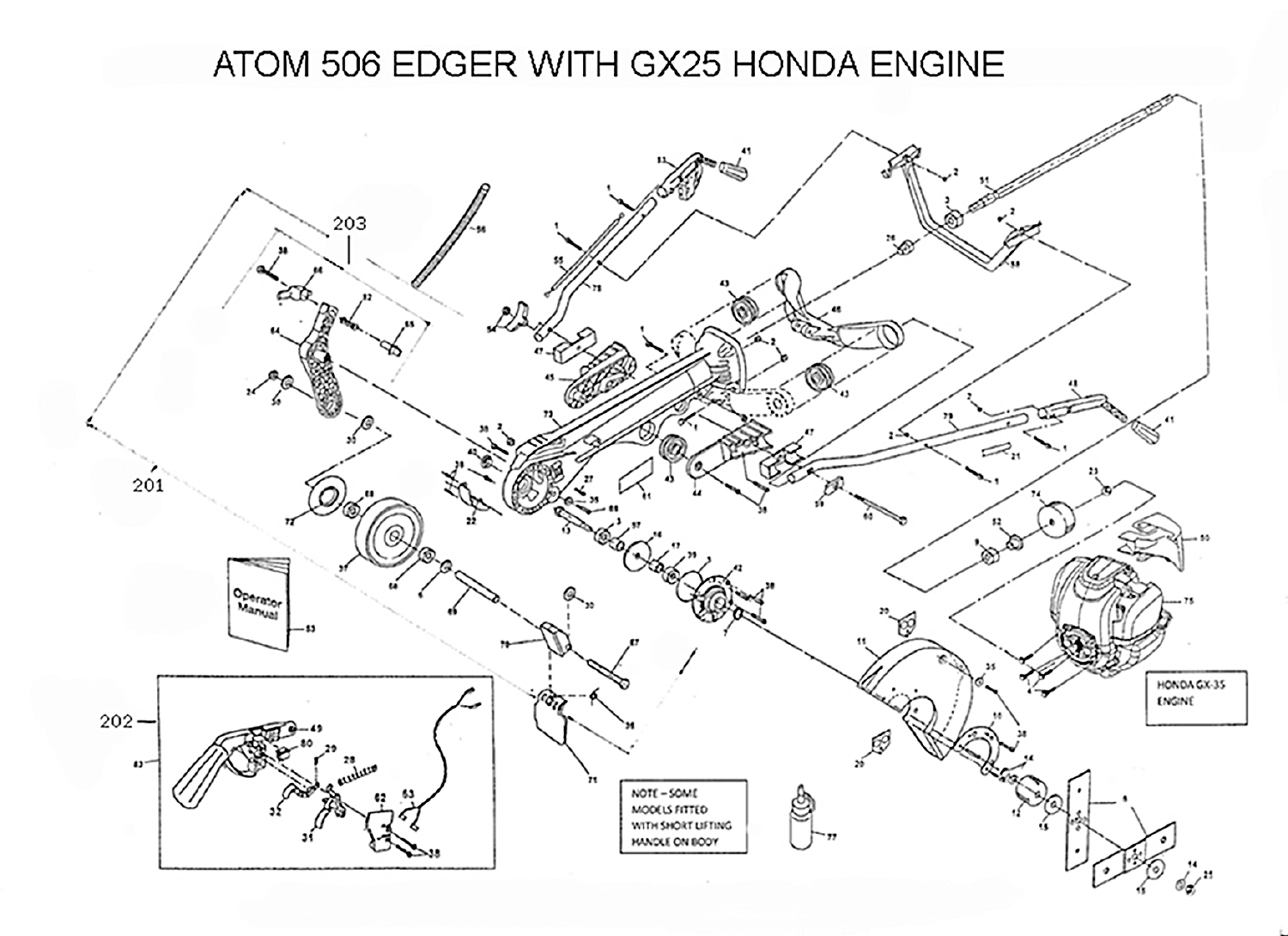## ATOM 506 EDGER WITH GX25 HONDA ENGINE